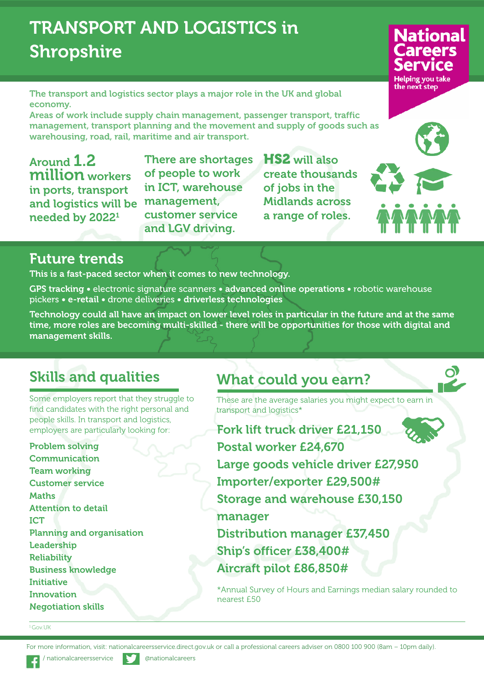# **TRANSPORT AND LOGISTICS in Shropshire**

**The transport and logistics sector plays a major role in the UK and global economy.**

**Areas of work include supply chain management, passenger transport, traffic management, transport planning and the movement and supply of goods such as warehousing, road, rail, maritime and air transport.**

**Around 1.2 million workers in ports, transport and logistics will be needed by 20221**

**There are shortages of people to work in ICT, warehouse management, customer service and LGV driving.**

**HS2 will also create thousands of jobs in the Midlands across a range of roles.**



**National** 



## **Future trends**

**This is a fast-paced sector when it comes to new technology.**

**GPS tracking •** electronic signature scanners **• advanced online operations •** robotic warehouse pickers **• e-retail •** drone deliveries **• driverless technologies**

Technology could all have an impact on lower level roles in particular in the future and at the same **time, more roles are becoming multi-skilled - there will be opportunities for those with digital and management skills.**

## **Skills and qualities**

Some employers report that they struggle to find candidates with the right personal and people skills. In transport and logistics, employers are particularly looking for:

**Problem solving Communication Team working Customer service Maths Attention to detail ICT Planning and organisation Leadership Reliability Business knowledge Initiative Innovation Negotiation skills**

## **What could you earn?**

These are the average salaries you might expect to earn in transport and logistics\*

**Fork lift truck driver £21,150 Postal worker £24,670 Large goods vehicle driver £27,950 Importer/exporter £29,500# Storage and warehouse £30,150 manager Distribution manager £37,450 Ship's officer £38,400# Aircraft pilot £86,850#**

\*Annual Survey of Hours and Earnings median salary rounded to nearest £50

#### <sup>1</sup> Gov.UK

For more information, visit: nationalcareersservice.direct.gov.uk or call a professional careers adviser on 0800 100 900 (8am – 10pm daily).